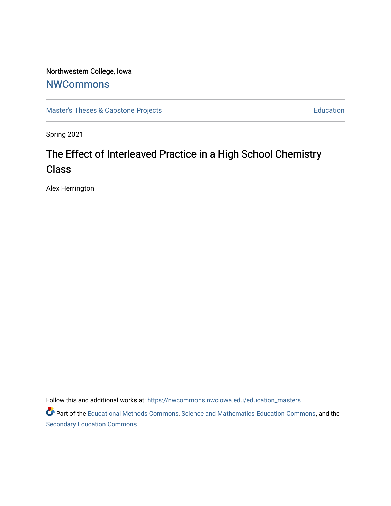# Northwestern College, Iowa

# **[NWCommons](https://nwcommons.nwciowa.edu/)**

[Master's Theses & Capstone Projects](https://nwcommons.nwciowa.edu/education_masters) **Education** Education

Spring 2021

# The Effect of Interleaved Practice in a High School Chemistry **Class**

Alex Herrington

Follow this and additional works at: [https://nwcommons.nwciowa.edu/education\\_masters](https://nwcommons.nwciowa.edu/education_masters?utm_source=nwcommons.nwciowa.edu%2Feducation_masters%2F285&utm_medium=PDF&utm_campaign=PDFCoverPages)

Part of the [Educational Methods Commons,](http://network.bepress.com/hgg/discipline/1227?utm_source=nwcommons.nwciowa.edu%2Feducation_masters%2F285&utm_medium=PDF&utm_campaign=PDFCoverPages) [Science and Mathematics Education Commons,](http://network.bepress.com/hgg/discipline/800?utm_source=nwcommons.nwciowa.edu%2Feducation_masters%2F285&utm_medium=PDF&utm_campaign=PDFCoverPages) and the [Secondary Education Commons](http://network.bepress.com/hgg/discipline/1382?utm_source=nwcommons.nwciowa.edu%2Feducation_masters%2F285&utm_medium=PDF&utm_campaign=PDFCoverPages)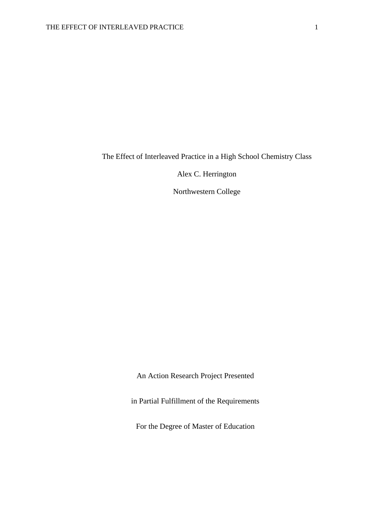The Effect of Interleaved Practice in a High School Chemistry Class

Alex C. Herrington

Northwestern College

An Action Research Project Presented

in Partial Fulfillment of the Requirements

For the Degree of Master of Education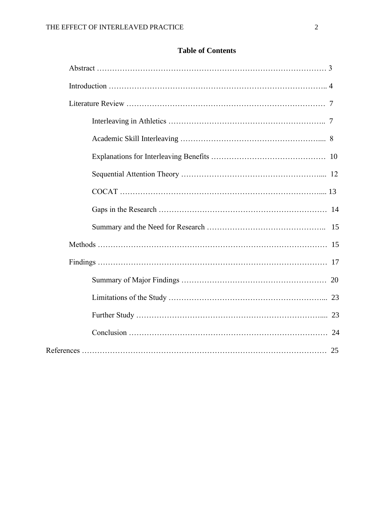| <b>Table of Contents</b> |  |
|--------------------------|--|
|                          |  |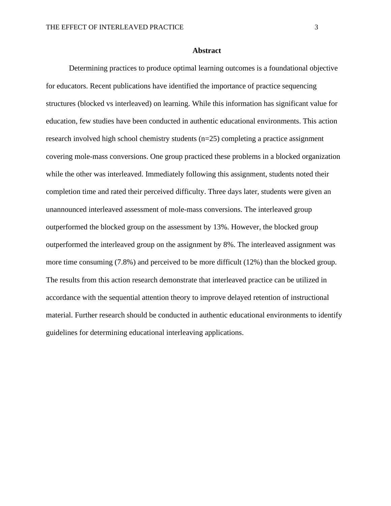#### **Abstract**

Determining practices to produce optimal learning outcomes is a foundational objective for educators. Recent publications have identified the importance of practice sequencing structures (blocked vs interleaved) on learning. While this information has significant value for education, few studies have been conducted in authentic educational environments. This action research involved high school chemistry students (n=25) completing a practice assignment covering mole-mass conversions. One group practiced these problems in a blocked organization while the other was interleaved. Immediately following this assignment, students noted their completion time and rated their perceived difficulty. Three days later, students were given an unannounced interleaved assessment of mole-mass conversions. The interleaved group outperformed the blocked group on the assessment by 13%. However, the blocked group outperformed the interleaved group on the assignment by 8%. The interleaved assignment was more time consuming (7.8%) and perceived to be more difficult (12%) than the blocked group. The results from this action research demonstrate that interleaved practice can be utilized in accordance with the sequential attention theory to improve delayed retention of instructional material. Further research should be conducted in authentic educational environments to identify guidelines for determining educational interleaving applications.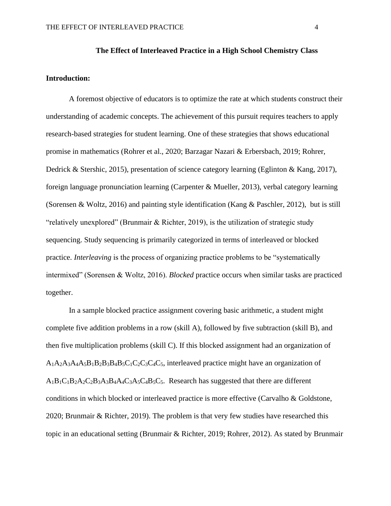#### **The Effect of Interleaved Practice in a High School Chemistry Class**

#### **Introduction:**

A foremost objective of educators is to optimize the rate at which students construct their understanding of academic concepts. The achievement of this pursuit requires teachers to apply research-based strategies for student learning. One of these strategies that shows educational promise in mathematics (Rohrer et al., 2020; Barzagar Nazari & Erbersbach, 2019; Rohrer, Dedrick & Stershic, 2015), presentation of science category learning (Eglinton & Kang, 2017), foreign language pronunciation learning (Carpenter & Mueller, 2013), verbal category learning (Sorensen & Woltz, 2016) and painting style identification (Kang & Paschler, 2012), but is still "relatively unexplored" (Brunmair & Richter, 2019), is the utilization of strategic study sequencing. Study sequencing is primarily categorized in terms of interleaved or blocked practice. *Interleaving* is the process of organizing practice problems to be "systematically intermixed" (Sorensen & Woltz, 2016). *Blocked* practice occurs when similar tasks are practiced together.

In a sample blocked practice assignment covering basic arithmetic, a student might complete five addition problems in a row (skill A), followed by five subtraction (skill B), and then five multiplication problems (skill C). If this blocked assignment had an organization of  $A_1A_2A_3A_4A_5B_1B_2B_3B_4B_5C_1C_2C_3C_4C_5$ , interleaved practice might have an organization of  $A_1B_1C_1B_2A_2C_2B_3A_3B_4A_4C_3A_5C_4B_5C_5$ . Research has suggested that there are different conditions in which blocked or interleaved practice is more effective (Carvalho & Goldstone, 2020; Brunmair & Richter, 2019). The problem is that very few studies have researched this topic in an educational setting (Brunmair & Richter, 2019; Rohrer, 2012). As stated by Brunmair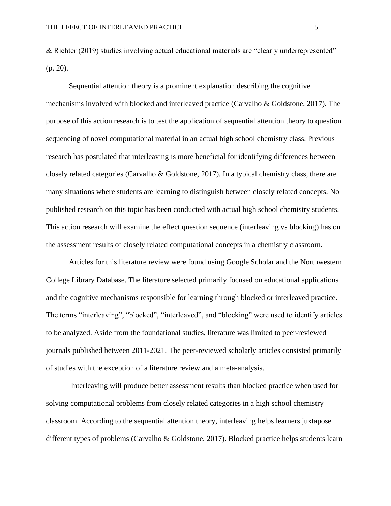& Richter (2019) studies involving actual educational materials are "clearly underrepresented" (p. 20).

Sequential attention theory is a prominent explanation describing the cognitive mechanisms involved with blocked and interleaved practice (Carvalho & Goldstone, 2017). The purpose of this action research is to test the application of sequential attention theory to question sequencing of novel computational material in an actual high school chemistry class. Previous research has postulated that interleaving is more beneficial for identifying differences between closely related categories (Carvalho & Goldstone, 2017). In a typical chemistry class, there are many situations where students are learning to distinguish between closely related concepts. No published research on this topic has been conducted with actual high school chemistry students. This action research will examine the effect question sequence (interleaving vs blocking) has on the assessment results of closely related computational concepts in a chemistry classroom.

Articles for this literature review were found using Google Scholar and the Northwestern College Library Database. The literature selected primarily focused on educational applications and the cognitive mechanisms responsible for learning through blocked or interleaved practice. The terms "interleaving", "blocked", "interleaved", and "blocking" were used to identify articles to be analyzed. Aside from the foundational studies, literature was limited to peer-reviewed journals published between 2011-2021. The peer-reviewed scholarly articles consisted primarily of studies with the exception of a literature review and a meta-analysis.

Interleaving will produce better assessment results than blocked practice when used for solving computational problems from closely related categories in a high school chemistry classroom. According to the sequential attention theory, interleaving helps learners juxtapose different types of problems (Carvalho & Goldstone, 2017). Blocked practice helps students learn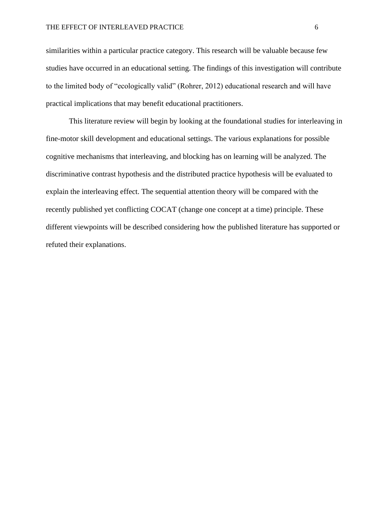similarities within a particular practice category. This research will be valuable because few studies have occurred in an educational setting. The findings of this investigation will contribute to the limited body of "ecologically valid" (Rohrer, 2012) educational research and will have practical implications that may benefit educational practitioners.

 This literature review will begin by looking at the foundational studies for interleaving in fine-motor skill development and educational settings. The various explanations for possible cognitive mechanisms that interleaving, and blocking has on learning will be analyzed. The discriminative contrast hypothesis and the distributed practice hypothesis will be evaluated to explain the interleaving effect. The sequential attention theory will be compared with the recently published yet conflicting COCAT (change one concept at a time) principle. These different viewpoints will be described considering how the published literature has supported or refuted their explanations.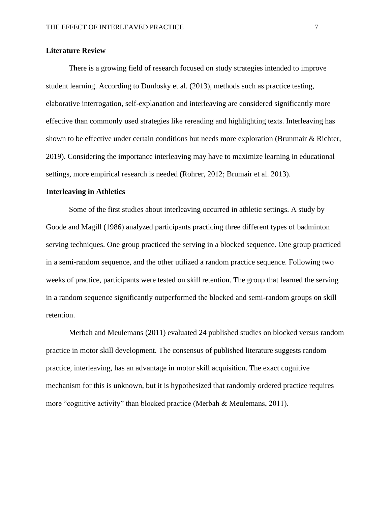#### **Literature Review**

There is a growing field of research focused on study strategies intended to improve student learning. According to Dunlosky et al. (2013), methods such as practice testing, elaborative interrogation, self-explanation and interleaving are considered significantly more effective than commonly used strategies like rereading and highlighting texts. Interleaving has shown to be effective under certain conditions but needs more exploration (Brunmair & Richter, 2019). Considering the importance interleaving may have to maximize learning in educational settings, more empirical research is needed (Rohrer, 2012; Brumair et al. 2013).

#### **Interleaving in Athletics**

Some of the first studies about interleaving occurred in athletic settings. A study by Goode and Magill (1986) analyzed participants practicing three different types of badminton serving techniques. One group practiced the serving in a blocked sequence. One group practiced in a semi-random sequence, and the other utilized a random practice sequence. Following two weeks of practice, participants were tested on skill retention. The group that learned the serving in a random sequence significantly outperformed the blocked and semi-random groups on skill retention.

Merbah and Meulemans (2011) evaluated 24 published studies on blocked versus random practice in motor skill development. The consensus of published literature suggests random practice, interleaving, has an advantage in motor skill acquisition. The exact cognitive mechanism for this is unknown, but it is hypothesized that randomly ordered practice requires more "cognitive activity" than blocked practice (Merbah & Meulemans, 2011).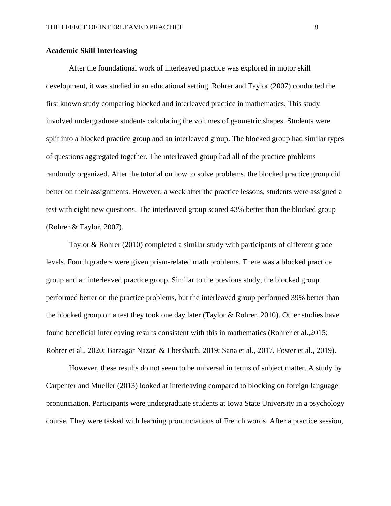#### **Academic Skill Interleaving**

After the foundational work of interleaved practice was explored in motor skill development, it was studied in an educational setting. Rohrer and Taylor (2007) conducted the first known study comparing blocked and interleaved practice in mathematics. This study involved undergraduate students calculating the volumes of geometric shapes. Students were split into a blocked practice group and an interleaved group. The blocked group had similar types of questions aggregated together. The interleaved group had all of the practice problems randomly organized. After the tutorial on how to solve problems, the blocked practice group did better on their assignments. However, a week after the practice lessons, students were assigned a test with eight new questions. The interleaved group scored 43% better than the blocked group (Rohrer & Taylor, 2007).

Taylor & Rohrer (2010) completed a similar study with participants of different grade levels. Fourth graders were given prism-related math problems. There was a blocked practice group and an interleaved practice group. Similar to the previous study, the blocked group performed better on the practice problems, but the interleaved group performed 39% better than the blocked group on a test they took one day later (Taylor & Rohrer, 2010). Other studies have found beneficial interleaving results consistent with this in mathematics (Rohrer et al.,2015; Rohrer et al., 2020; Barzagar Nazari & Ebersbach, 2019; Sana et al., 2017, Foster et al., 2019).

However, these results do not seem to be universal in terms of subject matter. A study by Carpenter and Mueller (2013) looked at interleaving compared to blocking on foreign language pronunciation. Participants were undergraduate students at Iowa State University in a psychology course. They were tasked with learning pronunciations of French words. After a practice session,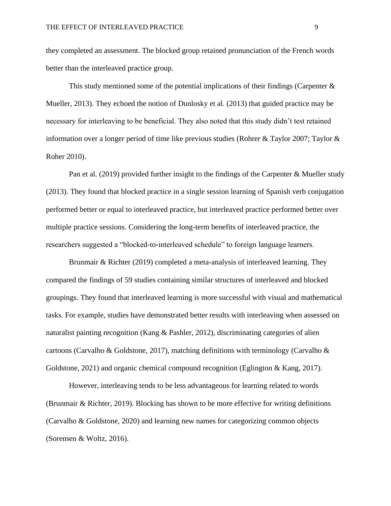they completed an assessment. The blocked group retained pronunciation of the French words better than the interleaved practice group.

This study mentioned some of the potential implications of their findings (Carpenter  $\&$ Mueller, 2013). They echoed the notion of Dunlosky et al. (2013) that guided practice may be necessary for interleaving to be beneficial. They also noted that this study didn't test retained information over a longer period of time like previous studies (Rohrer & Taylor 2007; Taylor & Roher 2010).

Pan et al. (2019) provided further insight to the findings of the Carpenter & Mueller study (2013). They found that blocked practice in a single session learning of Spanish verb conjugation performed better or equal to interleaved practice, but interleaved practice performed better over multiple practice sessions. Considering the long-term benefits of interleaved practice, the researchers suggested a "blocked-to-interleaved schedule" to foreign language learners.

Brunmair & Richter (2019) completed a meta-analysis of interleaved learning. They compared the findings of 59 studies containing similar structures of interleaved and blocked groupings. They found that interleaved learning is more successful with visual and mathematical tasks. For example, studies have demonstrated better results with interleaving when assessed on naturalist painting recognition (Kang & Pashler, 2012), discriminating categories of alien cartoons (Carvalho & Goldstone, 2017), matching definitions with terminology (Carvalho & Goldstone, 2021) and organic chemical compound recognition (Eglington & Kang, 2017).

However, interleaving tends to be less advantageous for learning related to words (Brunmair & Richter, 2019). Blocking has shown to be more effective for writing definitions (Carvalho & Goldstone, 2020) and learning new names for categorizing common objects (Sorensen & Woltz, 2016).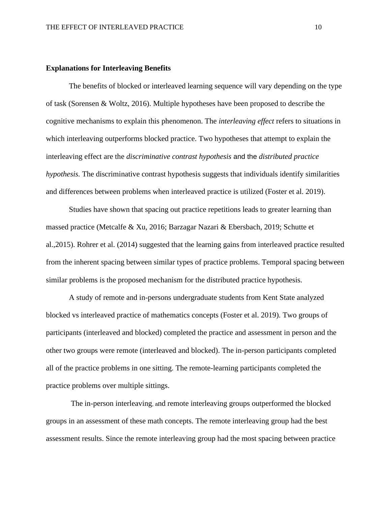#### **Explanations for Interleaving Benefits**

The benefits of blocked or interleaved learning sequence will vary depending on the type of task (Sorensen & Woltz, 2016). Multiple hypotheses have been proposed to describe the cognitive mechanisms to explain this phenomenon. The *interleaving effect* refers to situations in which interleaving outperforms blocked practice. Two hypotheses that attempt to explain the interleaving effect are the *discriminative contrast hypothesis* and the *distributed practice hypothesis.* The discriminative contrast hypothesis suggests that individuals identify similarities and differences between problems when interleaved practice is utilized (Foster et al. 2019).

Studies have shown that spacing out practice repetitions leads to greater learning than massed practice (Metcalfe & Xu, 2016; Barzagar Nazari & Ebersbach, 2019; Schutte et al.,2015). Rohrer et al. (2014) suggested that the learning gains from interleaved practice resulted from the inherent spacing between similar types of practice problems. Temporal spacing between similar problems is the proposed mechanism for the distributed practice hypothesis.

A study of remote and in-persons undergraduate students from Kent State analyzed blocked vs interleaved practice of mathematics concepts (Foster et al. 2019). Two groups of participants (interleaved and blocked) completed the practice and assessment in person and the other two groups were remote (interleaved and blocked). The in-person participants completed all of the practice problems in one sitting. The remote-learning participants completed the practice problems over multiple sittings.

The in-person interleaving, and remote interleaving groups outperformed the blocked groups in an assessment of these math concepts. The remote interleaving group had the best assessment results. Since the remote interleaving group had the most spacing between practice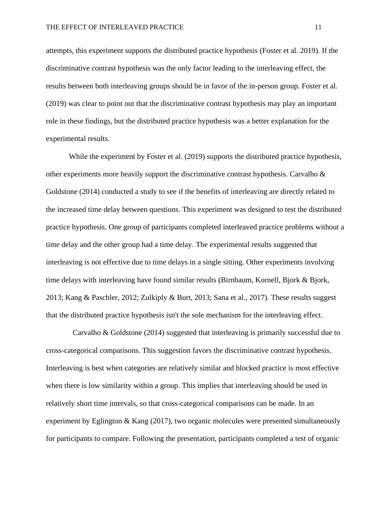attempts, this experiment supports the distributed practice hypothesis (Foster et al. 2019). If the discriminative contrast hypothesis was the only factor leading to the interleaving effect, the results between both interleaving groups should be in favor of the in-person group. Foster et al. (2019) was clear to point out that the discriminative contrast hypothesis may play an important role in these findings, but the distributed practice hypothesis was a better explanation for the experimental results.

While the experiment by Foster et al. (2019) supports the distributed practice hypothesis, other experiments more heavily support the discriminative contrast hypothesis. Carvalho  $\&$ Goldstone (2014) conducted a study to see if the benefits of interleaving are directly related to the increased time delay between questions. This experiment was designed to test the distributed practice hypothesis. One group of participants completed interleaved practice problems without a time delay and the other group had a time delay. The experimental results suggested that interleaving is not effective due to time delays in a single sitting. Other experiments involving time delays with interleaving have found similar results (Birnbaum, Kornell, Bjork & Bjork, 2013; Kang & Paschler, 2012; Zulkiply & Burt, 2013; Sana et al., 2017). These results suggest that the distributed practice hypothesis isn't the sole mechanism for the interleaving effect.

 Carvalho & Goldstone (2014) suggested that interleaving is primarily successful due to cross-categorical comparisons. This suggestion favors the discriminative contrast hypothesis. Interleaving is best when categories are relatively similar and blocked practice is most effective when there is low similarity within a group. This implies that interleaving should be used in relatively short time intervals, so that cross-categorical comparisons can be made. In an experiment by Eglington & Kang (2017), two organic molecules were presented simultaneously for participants to compare. Following the presentation, participants completed a test of organic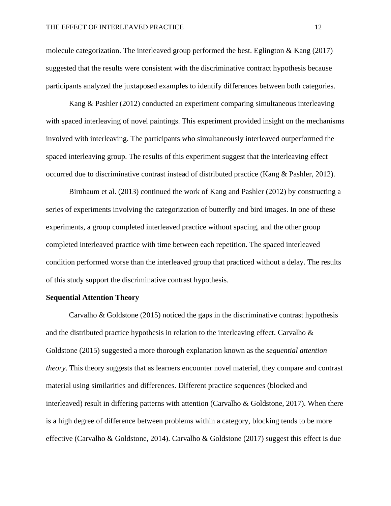molecule categorization. The interleaved group performed the best. Eglington & Kang (2017) suggested that the results were consistent with the discriminative contract hypothesis because participants analyzed the juxtaposed examples to identify differences between both categories.

Kang & Pashler (2012) conducted an experiment comparing simultaneous interleaving with spaced interleaving of novel paintings. This experiment provided insight on the mechanisms involved with interleaving. The participants who simultaneously interleaved outperformed the spaced interleaving group. The results of this experiment suggest that the interleaving effect occurred due to discriminative contrast instead of distributed practice (Kang & Pashler, 2012).

Birnbaum et al. (2013) continued the work of Kang and Pashler (2012) by constructing a series of experiments involving the categorization of butterfly and bird images. In one of these experiments, a group completed interleaved practice without spacing, and the other group completed interleaved practice with time between each repetition. The spaced interleaved condition performed worse than the interleaved group that practiced without a delay. The results of this study support the discriminative contrast hypothesis.

#### **Sequential Attention Theory**

Carvalho & Goldstone (2015) noticed the gaps in the discriminative contrast hypothesis and the distributed practice hypothesis in relation to the interleaving effect. Carvalho  $\&$ Goldstone (2015) suggested a more thorough explanation known as the *sequential attention theory*. This theory suggests that as learners encounter novel material, they compare and contrast material using similarities and differences. Different practice sequences (blocked and interleaved) result in differing patterns with attention (Carvalho & Goldstone, 2017). When there is a high degree of difference between problems within a category, blocking tends to be more effective (Carvalho & Goldstone, 2014). Carvalho & Goldstone (2017) suggest this effect is due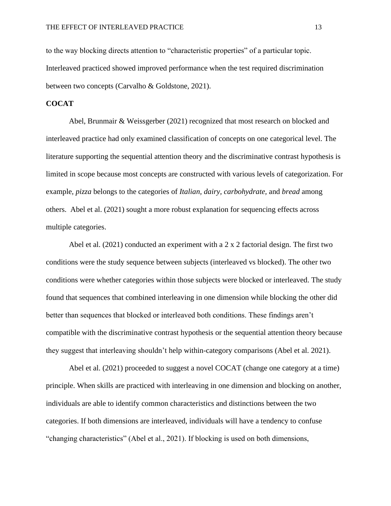to the way blocking directs attention to "characteristic properties" of a particular topic. Interleaved practiced showed improved performance when the test required discrimination between two concepts (Carvalho & Goldstone, 2021).

#### **COCAT**

Abel, Brunmair & Weissgerber (2021) recognized that most research on blocked and interleaved practice had only examined classification of concepts on one categorical level. The literature supporting the sequential attention theory and the discriminative contrast hypothesis is limited in scope because most concepts are constructed with various levels of categorization. For example, *pizza* belongs to the categories of *Italian, dairy, carbohydrate,* and *bread* among others. Abel et al. (2021) sought a more robust explanation for sequencing effects across multiple categories.

Abel et al. (2021) conducted an experiment with a 2 x 2 factorial design. The first two conditions were the study sequence between subjects (interleaved vs blocked). The other two conditions were whether categories within those subjects were blocked or interleaved. The study found that sequences that combined interleaving in one dimension while blocking the other did better than sequences that blocked or interleaved both conditions. These findings aren't compatible with the discriminative contrast hypothesis or the sequential attention theory because they suggest that interleaving shouldn't help within-category comparisons (Abel et al. 2021).

Abel et al. (2021) proceeded to suggest a novel COCAT (change one category at a time) principle. When skills are practiced with interleaving in one dimension and blocking on another, individuals are able to identify common characteristics and distinctions between the two categories. If both dimensions are interleaved, individuals will have a tendency to confuse "changing characteristics" (Abel et al., 2021). If blocking is used on both dimensions,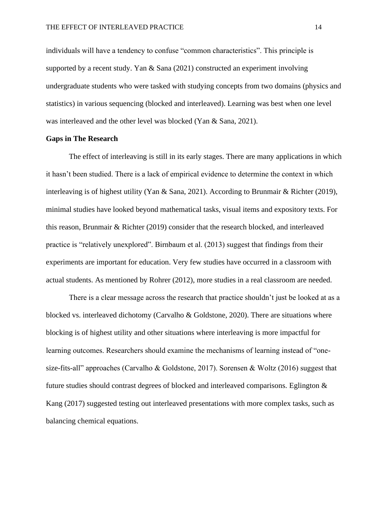individuals will have a tendency to confuse "common characteristics". This principle is supported by a recent study. Yan & Sana (2021) constructed an experiment involving undergraduate students who were tasked with studying concepts from two domains (physics and statistics) in various sequencing (blocked and interleaved). Learning was best when one level was interleaved and the other level was blocked (Yan & Sana, 2021).

#### **Gaps in The Research**

The effect of interleaving is still in its early stages. There are many applications in which it hasn't been studied. There is a lack of empirical evidence to determine the context in which interleaving is of highest utility (Yan & Sana, 2021). According to Brunmair & Richter (2019), minimal studies have looked beyond mathematical tasks, visual items and expository texts. For this reason, Brunmair & Richter (2019) consider that the research blocked, and interleaved practice is "relatively unexplored". Birnbaum et al. (2013) suggest that findings from their experiments are important for education. Very few studies have occurred in a classroom with actual students. As mentioned by Rohrer (2012), more studies in a real classroom are needed.

There is a clear message across the research that practice shouldn't just be looked at as a blocked vs. interleaved dichotomy (Carvalho & Goldstone, 2020). There are situations where blocking is of highest utility and other situations where interleaving is more impactful for learning outcomes. Researchers should examine the mechanisms of learning instead of "onesize-fits-all" approaches (Carvalho & Goldstone, 2017). Sorensen & Woltz (2016) suggest that future studies should contrast degrees of blocked and interleaved comparisons. Eglington & Kang (2017) suggested testing out interleaved presentations with more complex tasks, such as balancing chemical equations.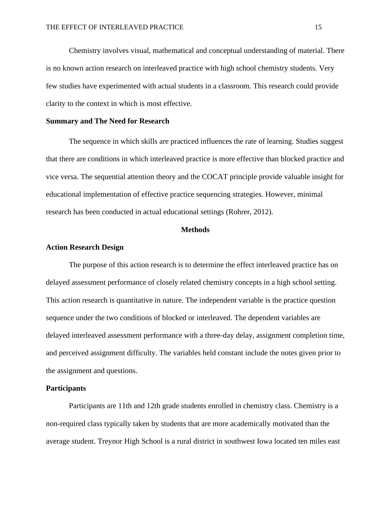Chemistry involves visual, mathematical and conceptual understanding of material. There is no known action research on interleaved practice with high school chemistry students. Very few studies have experimented with actual students in a classroom. This research could provide clarity to the context in which is most effective.

#### **Summary and The Need for Research**

The sequence in which skills are practiced influences the rate of learning. Studies suggest that there are conditions in which interleaved practice is more effective than blocked practice and vice versa. The sequential attention theory and the COCAT principle provide valuable insight for educational implementation of effective practice sequencing strategies. However, minimal research has been conducted in actual educational settings (Rohrer, 2012).

#### **Methods**

#### **Action Research Design**

The purpose of this action research is to determine the effect interleaved practice has on delayed assessment performance of closely related chemistry concepts in a high school setting. This action research is quantitative in nature. The independent variable is the practice question sequence under the two conditions of blocked or interleaved. The dependent variables are delayed interleaved assessment performance with a three-day delay, assignment completion time, and perceived assignment difficulty. The variables held constant include the notes given prior to the assignment and questions.

#### **Participants**

Participants are 11th and 12th grade students enrolled in chemistry class. Chemistry is a non-required class typically taken by students that are more academically motivated than the average student. Treynor High School is a rural district in southwest Iowa located ten miles east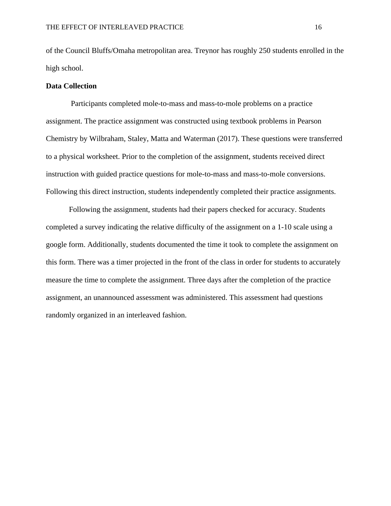of the Council Bluffs/Omaha metropolitan area. Treynor has roughly 250 students enrolled in the high school.

#### **Data Collection**

Participants completed mole-to-mass and mass-to-mole problems on a practice assignment. The practice assignment was constructed using textbook problems in Pearson Chemistry by Wilbraham, Staley, Matta and Waterman (2017). These questions were transferred to a physical worksheet. Prior to the completion of the assignment, students received direct instruction with guided practice questions for mole-to-mass and mass-to-mole conversions. Following this direct instruction, students independently completed their practice assignments.

Following the assignment, students had their papers checked for accuracy. Students completed a survey indicating the relative difficulty of the assignment on a 1-10 scale using a google form. Additionally, students documented the time it took to complete the assignment on this form. There was a timer projected in the front of the class in order for students to accurately measure the time to complete the assignment. Three days after the completion of the practice assignment, an unannounced assessment was administered. This assessment had questions randomly organized in an interleaved fashion.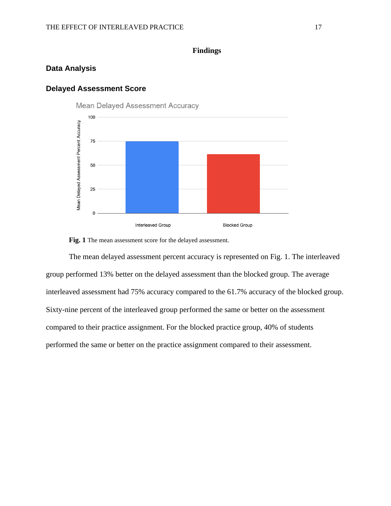### **Findings**

#### **Data Analysis**

#### **Delayed Assessment Score**



**Fig. 1** The mean assessment score for the delayed assessment.

The mean delayed assessment percent accuracy is represented on Fig. 1. The interleaved group performed 13% better on the delayed assessment than the blocked group. The average interleaved assessment had 75% accuracy compared to the 61.7% accuracy of the blocked group. Sixty-nine percent of the interleaved group performed the same or better on the assessment compared to their practice assignment. For the blocked practice group, 40% of students performed the same or better on the practice assignment compared to their assessment.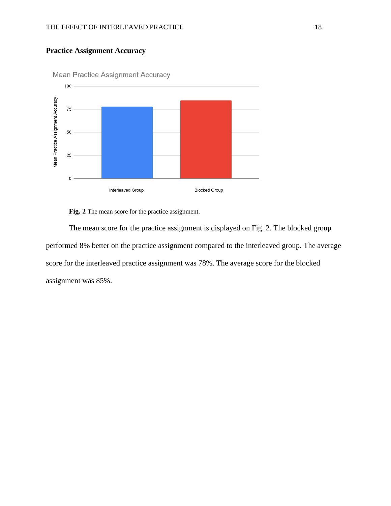## **Practice Assignment Accuracy**



**Mean Practice Assignment Accuracy** 

**Fig. 2** The mean score for the practice assignment.

The mean score for the practice assignment is displayed on Fig. 2. The blocked group performed 8% better on the practice assignment compared to the interleaved group. The average score for the interleaved practice assignment was 78%. The average score for the blocked assignment was 85%.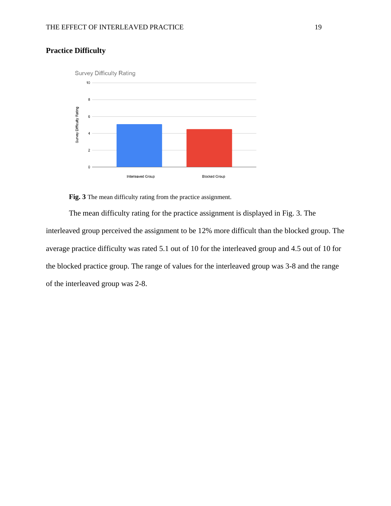

## **Practice Difficulty**



The mean difficulty rating for the practice assignment is displayed in Fig. 3. The interleaved group perceived the assignment to be 12% more difficult than the blocked group. The average practice difficulty was rated 5.1 out of 10 for the interleaved group and 4.5 out of 10 for the blocked practice group. The range of values for the interleaved group was 3-8 and the range of the interleaved group was 2-8.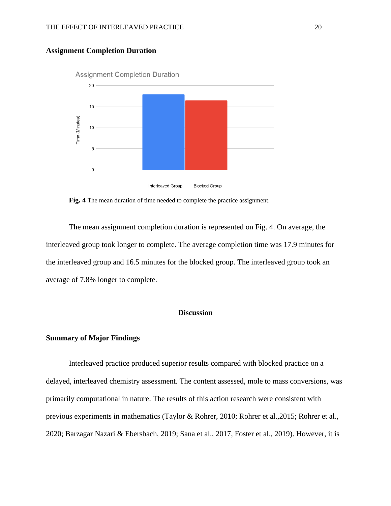

#### **Assignment Completion Duration**

**Fig. 4** The mean duration of time needed to complete the practice assignment.

The mean assignment completion duration is represented on Fig. 4. On average, the interleaved group took longer to complete. The average completion time was 17.9 minutes for the interleaved group and 16.5 minutes for the blocked group. The interleaved group took an average of 7.8% longer to complete.

#### **Discussion**

#### **Summary of Major Findings**

Interleaved practice produced superior results compared with blocked practice on a delayed, interleaved chemistry assessment. The content assessed, mole to mass conversions, was primarily computational in nature. The results of this action research were consistent with previous experiments in mathematics (Taylor & Rohrer, 2010; Rohrer et al.,2015; Rohrer et al., 2020; Barzagar Nazari & Ebersbach, 2019; Sana et al., 2017, Foster et al., 2019). However, it is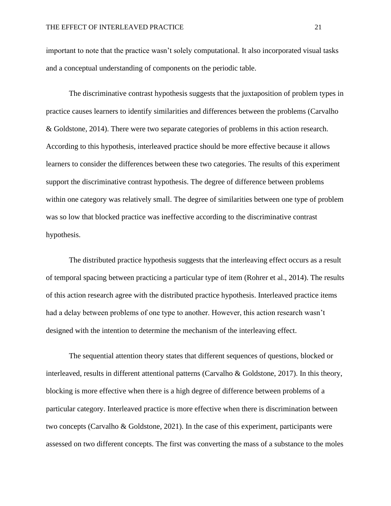important to note that the practice wasn't solely computational. It also incorporated visual tasks and a conceptual understanding of components on the periodic table.

The discriminative contrast hypothesis suggests that the juxtaposition of problem types in practice causes learners to identify similarities and differences between the problems (Carvalho & Goldstone, 2014). There were two separate categories of problems in this action research. According to this hypothesis, interleaved practice should be more effective because it allows learners to consider the differences between these two categories. The results of this experiment support the discriminative contrast hypothesis. The degree of difference between problems within one category was relatively small. The degree of similarities between one type of problem was so low that blocked practice was ineffective according to the discriminative contrast hypothesis.

The distributed practice hypothesis suggests that the interleaving effect occurs as a result of temporal spacing between practicing a particular type of item (Rohrer et al., 2014). The results of this action research agree with the distributed practice hypothesis. Interleaved practice items had a delay between problems of one type to another. However, this action research wasn't designed with the intention to determine the mechanism of the interleaving effect.

The sequential attention theory states that different sequences of questions, blocked or interleaved, results in different attentional patterns (Carvalho & Goldstone, 2017). In this theory, blocking is more effective when there is a high degree of difference between problems of a particular category. Interleaved practice is more effective when there is discrimination between two concepts (Carvalho & Goldstone, 2021). In the case of this experiment, participants were assessed on two different concepts. The first was converting the mass of a substance to the moles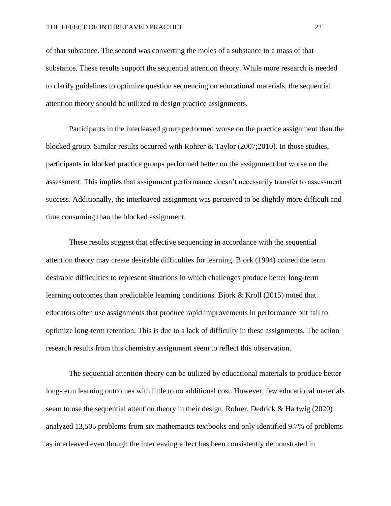of that substance. The second was converting the moles of a substance to a mass of that substance. These results support the sequential attention theory. While more research is needed to clarify guidelines to optimize question sequencing on educational materials, the sequential attention theory should be utilized to design practice assignments.

Participants in the interleaved group performed worse on the practice assignment than the blocked group. Similar results occurred with Rohrer & Taylor (2007;2010). In those studies, participants in blocked practice groups performed better on the assignment but worse on the assessment. This implies that assignment performance doesn't necessarily transfer to assessment success. Additionally, the interleaved assignment was perceived to be slightly more difficult and time consuming than the blocked assignment.

These results suggest that effective sequencing in accordance with the sequential attention theory may create desirable difficulties for learning. Bjork (1994) coined the term desirable difficulties to represent situations in which challenges produce better long-term learning outcomes than predictable learning conditions. Bjork & Kroll (2015) noted that educators often use assignments that produce rapid improvements in performance but fail to optimize long-term retention. This is due to a lack of difficulty in these assignments. The action research results from this chemistry assignment seem to reflect this observation.

The sequential attention theory can be utilized by educational materials to produce better long-term learning outcomes with little to no additional cost. However, few educational materials seem to use the sequential attention theory in their design. Rohrer, Dedrick & Hartwig (2020) analyzed 13,505 problems from six mathematics textbooks and only identified 9.7% of problems as interleaved even though the interleaving effect has been consistently demonstrated in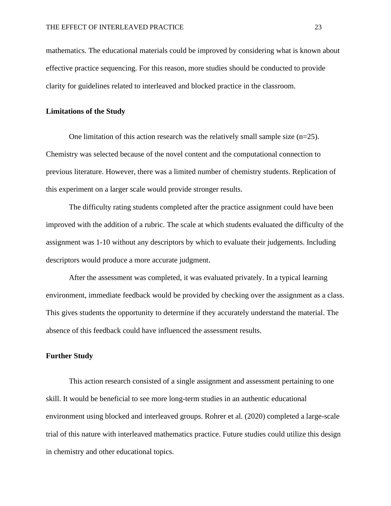mathematics. The educational materials could be improved by considering what is known about effective practice sequencing. For this reason, more studies should be conducted to provide clarity for guidelines related to interleaved and blocked practice in the classroom.

#### **Limitations of the Study**

One limitation of this action research was the relatively small sample size (n=25). Chemistry was selected because of the novel content and the computational connection to previous literature. However, there was a limited number of chemistry students. Replication of this experiment on a larger scale would provide stronger results.

The difficulty rating students completed after the practice assignment could have been improved with the addition of a rubric. The scale at which students evaluated the difficulty of the assignment was 1-10 without any descriptors by which to evaluate their judgements. Including descriptors would produce a more accurate judgment.

After the assessment was completed, it was evaluated privately. In a typical learning environment, immediate feedback would be provided by checking over the assignment as a class. This gives students the opportunity to determine if they accurately understand the material. The absence of this feedback could have influenced the assessment results.

#### **Further Study**

This action research consisted of a single assignment and assessment pertaining to one skill. It would be beneficial to see more long-term studies in an authentic educational environment using blocked and interleaved groups. Rohrer et al. (2020) completed a large-scale trial of this nature with interleaved mathematics practice. Future studies could utilize this design in chemistry and other educational topics.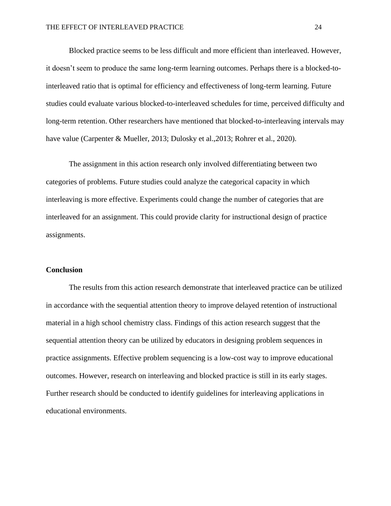Blocked practice seems to be less difficult and more efficient than interleaved. However, it doesn't seem to produce the same long-term learning outcomes. Perhaps there is a blocked-tointerleaved ratio that is optimal for efficiency and effectiveness of long-term learning. Future studies could evaluate various blocked-to-interleaved schedules for time, perceived difficulty and long-term retention. Other researchers have mentioned that blocked-to-interleaving intervals may have value (Carpenter & Mueller, 2013; Dulosky et al.,2013; Rohrer et al., 2020).

The assignment in this action research only involved differentiating between two categories of problems. Future studies could analyze the categorical capacity in which interleaving is more effective. Experiments could change the number of categories that are interleaved for an assignment. This could provide clarity for instructional design of practice assignments.

#### **Conclusion**

The results from this action research demonstrate that interleaved practice can be utilized in accordance with the sequential attention theory to improve delayed retention of instructional material in a high school chemistry class. Findings of this action research suggest that the sequential attention theory can be utilized by educators in designing problem sequences in practice assignments. Effective problem sequencing is a low-cost way to improve educational outcomes. However, research on interleaving and blocked practice is still in its early stages. Further research should be conducted to identify guidelines for interleaving applications in educational environments.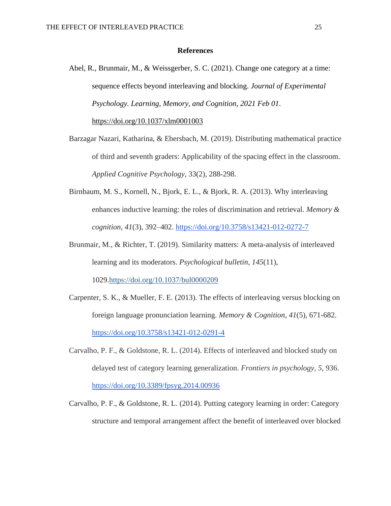#### **References**

Abel, R., Brunmair, M., & Weissgerber, S. C. (2021). Change one category at a time: sequence effects beyond interleaving and blocking. *Journal of Experimental Psychology. Learning, Memory, and Cognition*, *2021 Feb 01*. <https://doi.org/10.1037/xlm0001003>

Barzagar Nazari, Katharina, & Ebersbach, M. (2019). Distributing mathematical practice of third and seventh graders: Applicability of the spacing effect in the classroom.

*Applied Cognitive Psychology*, 33(2), 288-298.

- Birnbaum, M. S., Kornell, N., Bjork, E. L., & Bjork, R. A. (2013). Why interleaving enhances inductive learning: the roles of discrimination and retrieval. *Memory & cognition*, *41*(3), 392–402.<https://doi.org/10.3758/s13421-012-0272-7>
- Brunmair, M., & Richter, T. (2019). Similarity matters: A meta-analysis of interleaved learning and its moderators. *Psychological bulletin*, *145*(11), 1029[.https://doi.org/10.1037/bul0000209](https://psycnet.apa.org/doi/10.1037/bul0000209)
- Carpenter, S. K., & Mueller, F. E. (2013). The effects of interleaving versus blocking on foreign language pronunciation learning. *Memory & Cognition*, *41*(5), 671-682. <https://doi.org/10.3758/s13421-012-0291-4>
- Carvalho, P. F., & Goldstone, R. L. (2014). Effects of interleaved and blocked study on delayed test of category learning generalization. *Frontiers in psychology*, *5*, 936. <https://doi.org/10.3389/fpsyg.2014.00936>
- Carvalho, P. F., & Goldstone, R. L. (2014). Putting category learning in order: Category structure and temporal arrangement affect the benefit of interleaved over blocked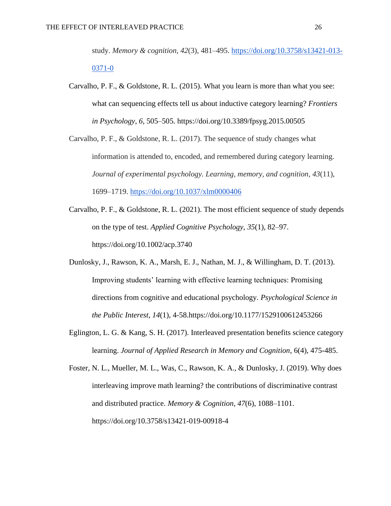study. *Memory & cognition*, *42*(3), 481–495. [https://doi.org/10.3758/s13421-013-](https://doi.org/10.3758/s13421-013-0371-0) [0371-0](https://doi.org/10.3758/s13421-013-0371-0)

Carvalho, P. F., & Goldstone, R. L. (2015). What you learn is more than what you see: what can sequencing effects tell us about inductive category learning? *Frontiers in Psychology*, *6*, 505–505. https://doi.org/10.3389/fpsyg.2015.00505

Carvalho, P. F., & Goldstone, R. L. (2017). The sequence of study changes what information is attended to, encoded, and remembered during category learning. *Journal of experimental psychology. Learning, memory, and cognition*, *43*(11), 1699–1719.<https://doi.org/10.1037/xlm0000406>

- Carvalho, P. F., & Goldstone, R. L. (2021). The most efficient sequence of study depends on the type of test. *Applied Cognitive Psychology*, *35*(1), 82–97. https://doi.org/10.1002/acp.3740
- Dunlosky, J., Rawson, K. A., Marsh, E. J., Nathan, M. J., & Willingham, D. T. (2013). Improving students' learning with effective learning techniques: Promising directions from cognitive and educational psychology. *Psychological Science in the Public Interest*, *14*(1), 4-58[.https://doi.org/10.1177/1529100612453266](https://doi.org/10.1177%2F1529100612453266)
- Eglington, L. G. & Kang, S. H. (2017). Interleaved presentation benefits science category learning. *Journal of Applied Research in Memory and Cognition*, 6(4), 475-485.

Foster, N. L., Mueller, M. L., Was, C., Rawson, K. A., & Dunlosky, J. (2019). Why does interleaving improve math learning? the contributions of discriminative contrast and distributed practice. *Memory & Cognition*, *47*(6), 1088–1101. https://doi.org/10.3758/s13421-019-00918-4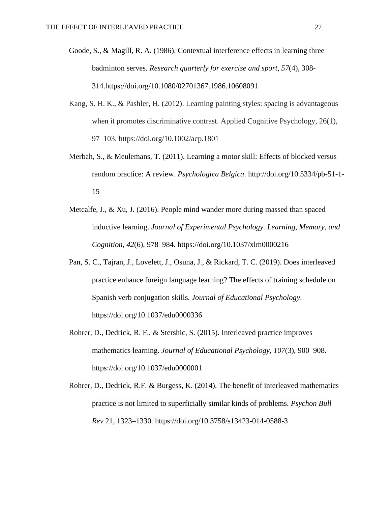- Goode, S., & Magill, R. A. (1986). Contextual interference effects in learning three badminton serves. *Research quarterly for exercise and sport*, *57*(4), 308- 314[.https://doi.org/10.1080/02701367.1986.10608091](https://doi.org/10.1080/02701367.1986.10608091)
- Kang, S. H. K., & Pashler, H. (2012). Learning painting styles: spacing is advantageous when it promotes discriminative contrast. Applied Cognitive Psychology, 26(1), 97–103. https://doi.org/10.1002/acp.1801
- Merbah, S., & Meulemans, T. (2011). Learning a motor skill: Effects of blocked versus random practice: A review. *Psychologica Belgica*. [http://doi.org/10.5334/pb-51-1-](http://doi.org/10.5334/pb-51-1-15) [15](http://doi.org/10.5334/pb-51-1-15)
- Metcalfe, J., & Xu, J. (2016). People mind wander more during massed than spaced inductive learning. *Journal of Experimental Psychology. Learning, Memory, and Cognition*, *42*(6), 978–984. https://doi.org/10.1037/xlm0000216
- Pan, S. C., Tajran, J., Lovelett, J., Osuna, J., & Rickard, T. C. (2019). Does interleaved practice enhance foreign language learning? The effects of training schedule on Spanish verb conjugation skills. *Journal of Educational Psychology*. [https://doi.org/10.1037/edu0000336](https://psycnet.apa.org/doi/10.1037/edu0000336)
- Rohrer, D., Dedrick, R. F., & Stershic, S. (2015). Interleaved practice improves mathematics learning. *Journal of Educational Psychology, 107*(3), 900–908. [https://doi.org/10.1037/edu0000001](https://psycnet.apa.org/doi/10.1037/edu0000001)
- Rohrer, D., Dedrick, R.F. & Burgess, K. (2014). The benefit of interleaved mathematics practice is not limited to superficially similar kinds of problems. *Psychon Bull Rev* 21, 1323–1330. https://doi.org/10.3758/s13423-014-0588-3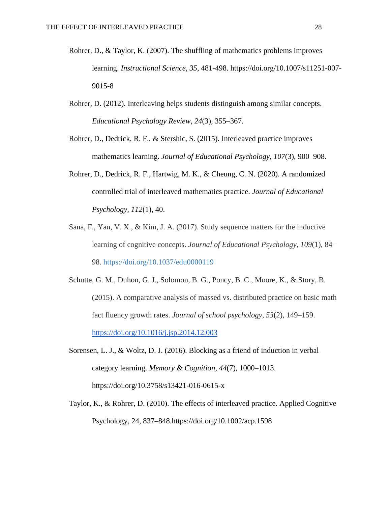- Rohrer, D., & Taylor, K. (2007). The shuffling of mathematics problems improves learning. *Instructional Science, 35*, 481-498. [https://doi.org/10.1007/s11251-007-](https://psycnet.apa.org/doi/10.1007/s11251-007-9015-8) [9015-8](https://psycnet.apa.org/doi/10.1007/s11251-007-9015-8)
- Rohrer, D. (2012). Interleaving helps students distinguish among similar concepts. *Educational Psychology Review*, *24*(3), 355–367.
- Rohrer, D., Dedrick, R. F., & Stershic, S. (2015). Interleaved practice improves mathematics learning. *Journal of Educational Psychology*, *107*(3), 900–908.
- Rohrer, D., Dedrick, R. F., Hartwig, M. K., & Cheung, C. N. (2020). A randomized controlled trial of interleaved mathematics practice. *Journal of Educational Psychology, 112*(1), 40.
- Sana, F., Yan, V. X., & Kim, J. A. (2017). Study sequence matters for the inductive learning of cognitive concepts. *Journal of Educational Psychology, 109*(1), 84– 98. [https://doi.org/10.1037/edu0000119](https://psycnet.apa.org/doi/10.1037/edu0000119)
- Schutte, G. M., Duhon, G. J., Solomon, B. G., Poncy, B. C., Moore, K., & Story, B. (2015). A comparative analysis of massed vs. distributed practice on basic math fact fluency growth rates. *Journal of school psychology*, *53*(2), 149–159. <https://doi.org/10.1016/j.jsp.2014.12.003>
- Sorensen, L. J., & Woltz, D. J. (2016). Blocking as a friend of induction in verbal category learning. *Memory & Cognition*, *44*(7), 1000–1013. https://doi.org/10.3758/s13421-016-0615-x
- Taylor, K., & Rohrer, D. (2010). The effects of interleaved practice. Applied Cognitive Psychology, 24, 837–848[.https://doi.org/10.1002/acp.1598](https://psycnet.apa.org/doi/10.1002/acp.1598)